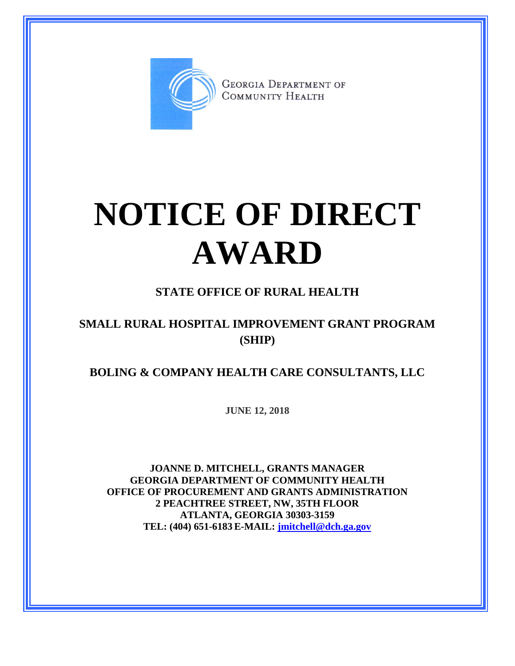

**GEORGIA DEPARTMENT OF** COMMUNITY HEALTH

# **NOTICE OF DIRECT AWARD**

### **STATE OFFICE OF RURAL HEALTH**

#### **SMALL RURAL HOSPITAL IMPROVEMENT GRANT PROGRAM (SHIP)**

#### **BOLING & COMPANY HEALTH CARE CONSULTANTS, LLC**

**JUNE 12, 2018**

**JOANNE D. MITCHELL, GRANTS MANAGER GEORGIA DEPARTMENT OF COMMUNITY HEALTH OFFICE OF PROCUREMENT AND GRANTS ADMINISTRATION 2 PEACHTREE STREET, NW, 35TH FLOOR ATLANTA, GEORGIA 30303-3159 TEL: (404) 651-6183 E-MAIL: [jmitchell@dch.ga.gov](mailto:awatson@dch.ga.gov)**